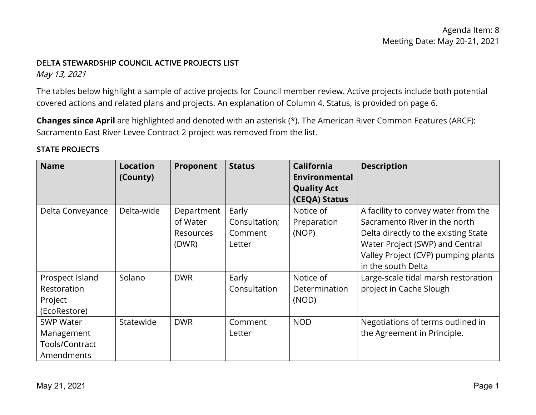### DELTA STEWARDSHIP COUNCIL ACTIVE PROJECTS LIST

May 13, 2021

 covered actions and related plans and projects. An explanation of Column 4, Status, is provided on page 6. The tables below highlight a sample of active projects for Council member review. Active projects include both potential

**Changes since April** are highlighted and denoted with an asterisk (\*). The American River Common Features (ARCF): Sacramento East River Levee Contract 2 project was removed from the list.

## STATE PROJECTS

| <b>Name</b>      | <b>Location</b><br>(County) | Proponent  | <b>Status</b> | California<br>Environmental | <b>Description</b>                   |
|------------------|-----------------------------|------------|---------------|-----------------------------|--------------------------------------|
|                  |                             |            |               | <b>Quality Act</b>          |                                      |
|                  |                             |            |               | (CEQA) Status               |                                      |
| Delta Conveyance | Delta-wide                  | Department | Early         | Notice of                   | A facility to convey water from the  |
|                  |                             | of Water   | Consultation; | Preparation                 | Sacramento River in the north        |
|                  |                             | Resources  | Comment       | (NOP)                       | Delta directly to the existing State |
|                  |                             | (DWR)      | Letter        |                             | Water Project (SWP) and Central      |
|                  |                             |            |               |                             | Valley Project (CVP) pumping plants  |
|                  |                             |            |               |                             | in the south Delta                   |
| Prospect Island  | Solano                      | <b>DWR</b> | Early         | Notice of                   | Large-scale tidal marsh restoration  |
| Restoration      |                             |            | Consultation  | Determination               | project in Cache Slough              |
| Project          |                             |            |               | (NOD)                       |                                      |
| (EcoRestore)     |                             |            |               |                             |                                      |
| <b>SWP Water</b> | Statewide                   | <b>DWR</b> | Comment       | <b>NOD</b>                  | Negotiations of terms outlined in    |
| Management       |                             |            | Letter        |                             | the Agreement in Principle.          |
| Tools/Contract   |                             |            |               |                             |                                      |
| Amendments       |                             |            |               |                             |                                      |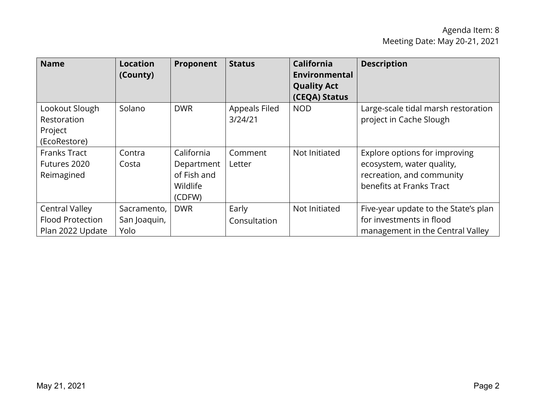| <b>Name</b>                                                          | <b>Location</b><br>(County)         | Proponent                                                     | <b>Status</b>            | <b>California</b><br>Environmental  | <b>Description</b>                                                                                                  |
|----------------------------------------------------------------------|-------------------------------------|---------------------------------------------------------------|--------------------------|-------------------------------------|---------------------------------------------------------------------------------------------------------------------|
|                                                                      |                                     |                                                               |                          | <b>Quality Act</b><br>(CEQA) Status |                                                                                                                     |
| Lookout Slough<br>Restoration<br>Project<br>(EcoRestore)             | Solano                              | <b>DWR</b>                                                    | Appeals Filed<br>3/24/21 | <b>NOD</b>                          | Large-scale tidal marsh restoration<br>project in Cache Slough                                                      |
| <b>Franks Tract</b><br>Futures 2020<br>Reimagined                    | Contra<br>Costa                     | California<br>Department<br>of Fish and<br>Wildlife<br>(CDFW) | Comment<br>Letter        | Not Initiated                       | Explore options for improving<br>ecosystem, water quality,<br>recreation, and community<br>benefits at Franks Tract |
| <b>Central Valley</b><br><b>Flood Protection</b><br>Plan 2022 Update | Sacramento,<br>San Joaquin,<br>Yolo | <b>DWR</b>                                                    | Early<br>Consultation    | Not Initiated                       | Five-year update to the State's plan<br>for investments in flood<br>management in the Central Valley                |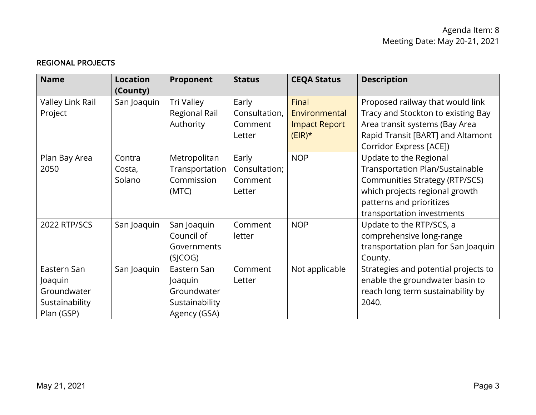## REGIONAL PROJECTS

| <b>Name</b>      | <b>Location</b> | Proponent      | <b>Status</b> | <b>CEQA Status</b>   | <b>Description</b>                     |
|------------------|-----------------|----------------|---------------|----------------------|----------------------------------------|
|                  | (County)        |                |               |                      |                                        |
| Valley Link Rail | San Joaquin     | Tri Valley     | Early         | Final                | Proposed railway that would link       |
| Project          |                 | Regional Rail  | Consultation, | Environmental        | Tracy and Stockton to existing Bay     |
|                  |                 | Authority      | Comment       | <b>Impact Report</b> | Area transit systems (Bay Area         |
|                  |                 |                | Letter        | $(EIR)^*$            | Rapid Transit [BART] and Altamont      |
|                  |                 |                |               |                      | Corridor Express [ACE])                |
| Plan Bay Area    | Contra          | Metropolitan   | Early         | <b>NOP</b>           | Update to the Regional                 |
| 2050             | Costa,          | Transportation | Consultation; |                      | <b>Transportation Plan/Sustainable</b> |
|                  | Solano          | Commission     | Comment       |                      | <b>Communities Strategy (RTP/SCS)</b>  |
|                  |                 | (MTC)          | Letter        |                      | which projects regional growth         |
|                  |                 |                |               |                      | patterns and prioritizes               |
|                  |                 |                |               |                      | transportation investments             |
| 2022 RTP/SCS     | San Joaquin     | San Joaquin    | Comment       | <b>NOP</b>           | Update to the RTP/SCS, a               |
|                  |                 | Council of     | letter        |                      | comprehensive long-range               |
|                  |                 | Governments    |               |                      | transportation plan for San Joaquin    |
|                  |                 | (SICOG)        |               |                      | County.                                |
| Eastern San      | San Joaquin     | Eastern San    | Comment       | Not applicable       | Strategies and potential projects to   |
| Joaquin          |                 | Joaquin        | Letter        |                      | enable the groundwater basin to        |
| Groundwater      |                 | Groundwater    |               |                      | reach long term sustainability by      |
| Sustainability   |                 | Sustainability |               |                      | 2040.                                  |
| Plan (GSP)       |                 | Agency (GSA)   |               |                      |                                        |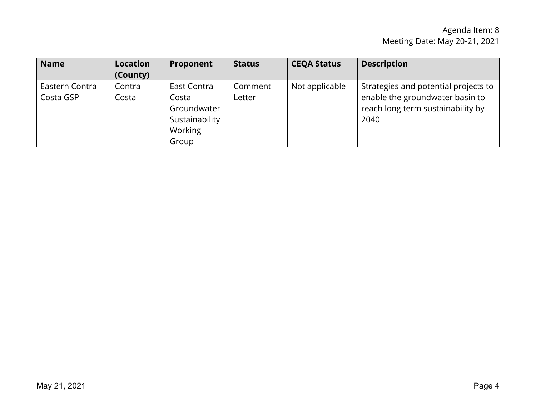| <b>Name</b>    | <b>Location</b> | Proponent      | <b>Status</b> | <b>CEQA Status</b> | <b>Description</b>                   |
|----------------|-----------------|----------------|---------------|--------------------|--------------------------------------|
|                | (County)        |                |               |                    |                                      |
| Eastern Contra | Contra          | East Contra    | Comment       | Not applicable     | Strategies and potential projects to |
| Costa GSP      | Costa           | Costa          | Letter        |                    | enable the groundwater basin to      |
|                |                 | Groundwater    |               |                    | reach long term sustainability by    |
|                |                 | Sustainability |               |                    | 2040                                 |
|                |                 | Working        |               |                    |                                      |
|                |                 | Group          |               |                    |                                      |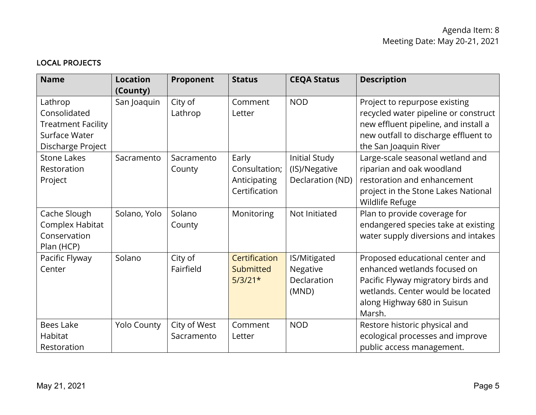# LOCAL PROJECTS

| <b>Name</b>                                                                                | <b>Location</b><br>(County) | Proponent                  | <b>Status</b>                                           | <b>CEQA Status</b>                                        | <b>Description</b>                                                                                                                                                                  |
|--------------------------------------------------------------------------------------------|-----------------------------|----------------------------|---------------------------------------------------------|-----------------------------------------------------------|-------------------------------------------------------------------------------------------------------------------------------------------------------------------------------------|
| Lathrop<br>Consolidated<br><b>Treatment Facility</b><br>Surface Water<br>Discharge Project | San Joaquin                 | City of<br>Lathrop         | Comment<br>Letter                                       | <b>NOD</b>                                                | Project to repurpose existing<br>recycled water pipeline or construct<br>new effluent pipeline, and install a<br>new outfall to discharge effluent to<br>the San Joaquin River      |
| <b>Stone Lakes</b><br>Restoration<br>Project                                               | Sacramento                  | Sacramento<br>County       | Early<br>Consultation;<br>Anticipating<br>Certification | <b>Initial Study</b><br>(IS)/Negative<br>Declaration (ND) | Large-scale seasonal wetland and<br>riparian and oak woodland<br>restoration and enhancement<br>project in the Stone Lakes National<br>Wildlife Refuge                              |
| Cache Slough<br>Complex Habitat<br>Conservation<br>Plan (HCP)                              | Solano, Yolo                | Solano<br>County           | Monitoring                                              | Not Initiated                                             | Plan to provide coverage for<br>endangered species take at existing<br>water supply diversions and intakes                                                                          |
| Pacific Flyway<br>Center                                                                   | Solano                      | City of<br>Fairfield       | Certification<br>Submitted<br>$5/3/21*$                 | IS/Mitigated<br>Negative<br>Declaration<br>(MND)          | Proposed educational center and<br>enhanced wetlands focused on<br>Pacific Flyway migratory birds and<br>wetlands. Center would be located<br>along Highway 680 in Suisun<br>Marsh. |
| <b>Bees Lake</b><br>Habitat<br>Restoration                                                 | <b>Yolo County</b>          | City of West<br>Sacramento | Comment<br>Letter                                       | <b>NOD</b>                                                | Restore historic physical and<br>ecological processes and improve<br>public access management.                                                                                      |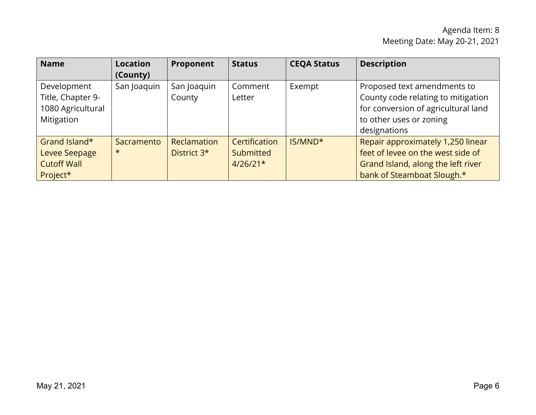| <b>Name</b>                                                         | <b>Location</b><br>(County) | Proponent                                     | <b>Status</b>                            | <b>CEQA Status</b>  | <b>Description</b>                                                                                                                                  |
|---------------------------------------------------------------------|-----------------------------|-----------------------------------------------|------------------------------------------|---------------------|-----------------------------------------------------------------------------------------------------------------------------------------------------|
| Development<br>Title, Chapter 9-<br>1080 Agricultural<br>Mitigation | San Joaquin                 | San Joaquin<br>County                         | Comment<br>Letter                        | Exempt              | Proposed text amendments to<br>County code relating to mitigation<br>for conversion of agricultural land<br>to other uses or zoning<br>designations |
| Grand Island*<br>Levee Seepage<br><b>Cutoff Wall</b><br>Project*    | Sacramento<br>$\star$       | <b>Reclamation</b><br>District 3 <sup>*</sup> | Certification<br>Submitted<br>$4/26/21*$ | IS/MND <sup>*</sup> | Repair approximately 1,250 linear<br>feet of levee on the west side of<br>Grand Island, along the left river<br>bank of Steamboat Slough.*          |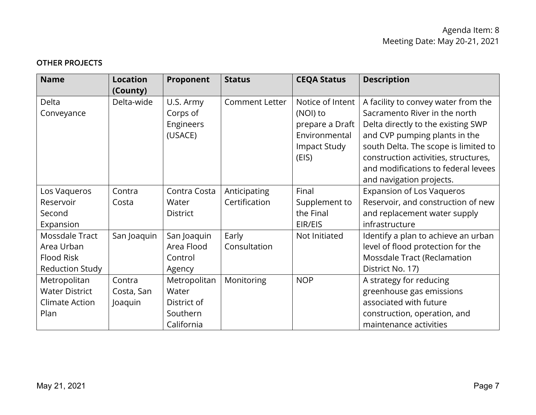# OTHER PROJECTS

| <b>Name</b>            | <b>Location</b> | Proponent       | <b>Status</b>         | <b>CEQA Status</b> | <b>Description</b>                   |
|------------------------|-----------------|-----------------|-----------------------|--------------------|--------------------------------------|
|                        | (County)        |                 |                       |                    |                                      |
| Delta                  | Delta-wide      | U.S. Army       | <b>Comment Letter</b> | Notice of Intent   | A facility to convey water from the  |
| Conveyance             |                 | Corps of        |                       | (NOI) to           | Sacramento River in the north        |
|                        |                 | Engineers       |                       | prepare a Draft    | Delta directly to the existing SWP   |
|                        |                 | (USACE)         |                       | Environmental      | and CVP pumping plants in the        |
|                        |                 |                 |                       | Impact Study       | south Delta. The scope is limited to |
|                        |                 |                 |                       | (EIS)              | construction activities, structures, |
|                        |                 |                 |                       |                    | and modifications to federal levees  |
|                        |                 |                 |                       |                    | and navigation projects.             |
| Los Vaqueros           | Contra          | Contra Costa    | Anticipating          | Final              | <b>Expansion of Los Vaqueros</b>     |
| Reservoir              | Costa           | Water           | Certification         | Supplement to      | Reservoir, and construction of new   |
| Second                 |                 | <b>District</b> |                       | the Final          | and replacement water supply         |
| Expansion              |                 |                 |                       | EIR/EIS            | infrastructure                       |
| Mossdale Tract         | San Joaquin     | San Joaquin     | Early                 | Not Initiated      | Identify a plan to achieve an urban  |
| Area Urban             |                 | Area Flood      | Consultation          |                    | level of flood protection for the    |
| <b>Flood Risk</b>      |                 | Control         |                       |                    | Mossdale Tract (Reclamation          |
| <b>Reduction Study</b> |                 | Agency          |                       |                    | District No. 17)                     |
| Metropolitan           | Contra          | Metropolitan    | Monitoring            | <b>NOP</b>         | A strategy for reducing              |
| <b>Water District</b>  | Costa, San      | Water           |                       |                    | greenhouse gas emissions             |
| Climate Action         | Joaquin         | District of     |                       |                    | associated with future               |
| Plan                   |                 | Southern        |                       |                    | construction, operation, and         |
|                        |                 | California      |                       |                    | maintenance activities               |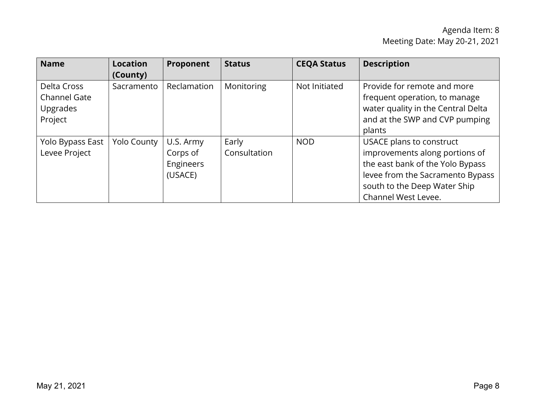# Agenda Item: 8 Meeting Date: May 20-21, 2021

| <b>Name</b>                                               | <b>Location</b><br>(County) | Proponent                                     | <b>Status</b>         | <b>CEQA Status</b> | <b>Description</b>                                                                                                                                                                        |
|-----------------------------------------------------------|-----------------------------|-----------------------------------------------|-----------------------|--------------------|-------------------------------------------------------------------------------------------------------------------------------------------------------------------------------------------|
| Delta Cross<br><b>Channel Gate</b><br>Upgrades<br>Project | Sacramento                  | Reclamation                                   | Monitoring            | Not Initiated      | Provide for remote and more<br>frequent operation, to manage<br>water quality in the Central Delta<br>and at the SWP and CVP pumping<br>plants                                            |
| Yolo Bypass East<br>Levee Project                         | <b>Yolo County</b>          | U.S. Army<br>Corps of<br>Engineers<br>(USACE) | Early<br>Consultation | <b>NOD</b>         | USACE plans to construct<br>improvements along portions of<br>the east bank of the Yolo Bypass<br>levee from the Sacramento Bypass<br>south to the Deep Water Ship<br>Channel West Levee. |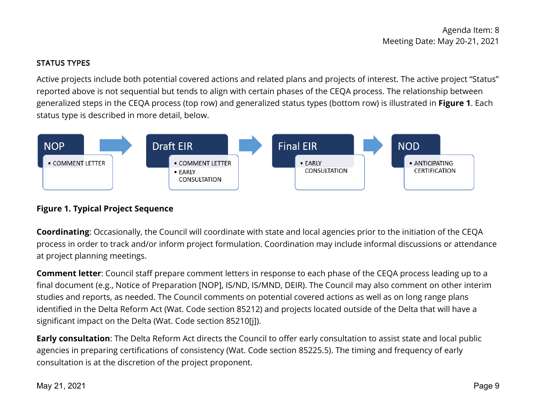## STATUS TYPES

 status type is described in more detail, below. Active projects include both potential covered actions and related plans and projects of interest. The active project "Status" reported above is not sequential but tends to align with certain phases of the CEQA process. The relationship between generalized steps in the CEQA process (top row) and generalized status types (bottom row) is illustrated in **Figure 1**. Each



# **Figure 1. Typical Project Sequence**

 process in order to track and/or inform project formulation. Coordination may include informal discussions or attendance **Coordinating**: Occasionally, the Council will coordinate with state and local agencies prior to the initiation of the CEQA at project planning meetings.

 **Comment letter**: Council staff prepare comment letters in response to each phase of the CEQA process leading up to a identified in the Delta Reform Act (Wat. Code section 85212) and projects located outside of the Delta that will have a final document (e.g., Notice of Preparation [NOP], IS/ND, IS/MND, DEIR). The Council may also comment on other interim studies and reports, as needed. The Council comments on potential covered actions as well as on long range plans significant impact on the Delta (Wat. Code section 85210[j]).

 agencies in preparing certifications of consistency (Wat. Code section 85225.5). The timing and frequency of early consultation is at the discretion of the project proponent. **Early consultation**: The Delta Reform Act directs the Council to offer early consultation to assist state and local public